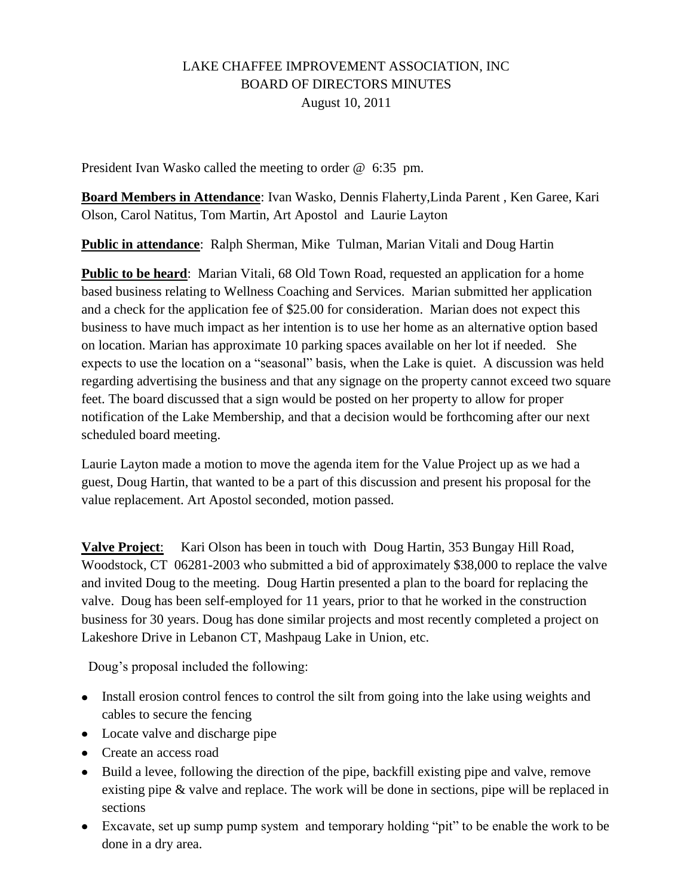# LAKE CHAFFEE IMPROVEMENT ASSOCIATION, INC BOARD OF DIRECTORS MINUTES August 10, 2011

President Ivan Wasko called the meeting to order @ 6:35 pm.

**Board Members in Attendance**: Ivan Wasko, Dennis Flaherty,Linda Parent , Ken Garee, Kari Olson, Carol Natitus, Tom Martin, Art Apostol and Laurie Layton

**Public in attendance**: Ralph Sherman, Mike Tulman, Marian Vitali and Doug Hartin

**Public to be heard:** Marian Vitali, 68 Old Town Road, requested an application for a home based business relating to Wellness Coaching and Services. Marian submitted her application and a check for the application fee of \$25.00 for consideration. Marian does not expect this business to have much impact as her intention is to use her home as an alternative option based on location. Marian has approximate 10 parking spaces available on her lot if needed. She expects to use the location on a "seasonal" basis, when the Lake is quiet. A discussion was held regarding advertising the business and that any signage on the property cannot exceed two square feet. The board discussed that a sign would be posted on her property to allow for proper notification of the Lake Membership, and that a decision would be forthcoming after our next scheduled board meeting.

Laurie Layton made a motion to move the agenda item for the Value Project up as we had a guest, Doug Hartin, that wanted to be a part of this discussion and present his proposal for the value replacement. Art Apostol seconded, motion passed.

**Valve Project**: Kari Olson has been in touch with Doug Hartin, 353 Bungay Hill Road, Woodstock, CT 06281-2003 who submitted a bid of approximately \$38,000 to replace the valve and invited Doug to the meeting. Doug Hartin presented a plan to the board for replacing the valve. Doug has been self-employed for 11 years, prior to that he worked in the construction business for 30 years. Doug has done similar projects and most recently completed a project on Lakeshore Drive in Lebanon CT, Mashpaug Lake in Union, etc.

Doug's proposal included the following:

- Install erosion control fences to control the silt from going into the lake using weights and cables to secure the fencing
- Locate valve and discharge pipe
- Create an access road
- Build a levee, following the direction of the pipe, backfill existing pipe and valve, remove existing pipe & valve and replace. The work will be done in sections, pipe will be replaced in sections
- Excavate, set up sump pump system and temporary holding "pit" to be enable the work to be done in a dry area.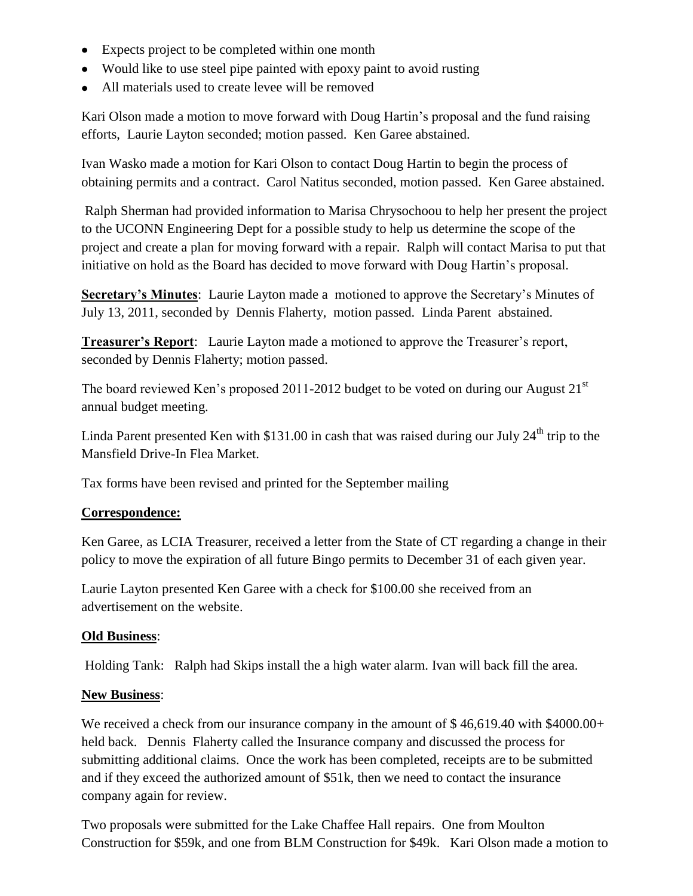- Expects project to be completed within one month
- Would like to use steel pipe painted with epoxy paint to avoid rusting
- All materials used to create levee will be removed

Kari Olson made a motion to move forward with Doug Hartin's proposal and the fund raising efforts, Laurie Layton seconded; motion passed. Ken Garee abstained.

Ivan Wasko made a motion for Kari Olson to contact Doug Hartin to begin the process of obtaining permits and a contract. Carol Natitus seconded, motion passed. Ken Garee abstained.

Ralph Sherman had provided information to Marisa Chrysochoou to help her present the project to the UCONN Engineering Dept for a possible study to help us determine the scope of the project and create a plan for moving forward with a repair. Ralph will contact Marisa to put that initiative on hold as the Board has decided to move forward with Doug Hartin's proposal.

**Secretary's Minutes**: Laurie Layton made a motioned to approve the Secretary's Minutes of July 13, 2011, seconded by Dennis Flaherty, motion passed. Linda Parent abstained.

**Treasurer's Report**: Laurie Layton made a motioned to approve the Treasurer's report, seconded by Dennis Flaherty; motion passed.

The board reviewed Ken's proposed 2011-2012 budget to be voted on during our August  $21<sup>st</sup>$ annual budget meeting.

Linda Parent presented Ken with  $$131.00$  in cash that was raised during our July  $24<sup>th</sup>$  trip to the Mansfield Drive-In Flea Market.

Tax forms have been revised and printed for the September mailing

## **Correspondence:**

Ken Garee, as LCIA Treasurer, received a letter from the State of CT regarding a change in their policy to move the expiration of all future Bingo permits to December 31 of each given year.

Laurie Layton presented Ken Garee with a check for \$100.00 she received from an advertisement on the website.

### **Old Business**:

Holding Tank: Ralph had Skips install the a high water alarm. Ivan will back fill the area.

### **New Business**:

We received a check from our insurance company in the amount of \$46,619.40 with \$4000.00+ held back. Dennis Flaherty called the Insurance company and discussed the process for submitting additional claims. Once the work has been completed, receipts are to be submitted and if they exceed the authorized amount of \$51k, then we need to contact the insurance company again for review.

Two proposals were submitted for the Lake Chaffee Hall repairs. One from Moulton Construction for \$59k, and one from BLM Construction for \$49k. Kari Olson made a motion to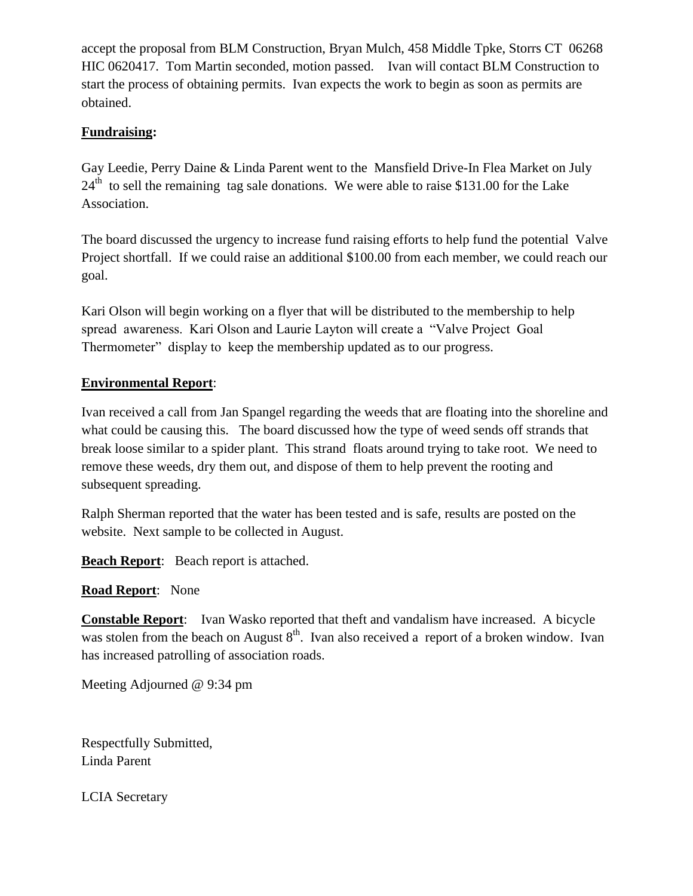accept the proposal from BLM Construction, Bryan Mulch, 458 Middle Tpke, Storrs CT 06268 HIC 0620417. Tom Martin seconded, motion passed. Ivan will contact BLM Construction to start the process of obtaining permits. Ivan expects the work to begin as soon as permits are obtained.

## **Fundraising:**

Gay Leedie, Perry Daine & Linda Parent went to the Mansfield Drive-In Flea Market on July  $24<sup>th</sup>$  to sell the remaining tag sale donations. We were able to raise \$131.00 for the Lake Association.

The board discussed the urgency to increase fund raising efforts to help fund the potential Valve Project shortfall. If we could raise an additional \$100.00 from each member, we could reach our goal.

Kari Olson will begin working on a flyer that will be distributed to the membership to help spread awareness. Kari Olson and Laurie Layton will create a "Valve Project Goal Thermometer" display to keep the membership updated as to our progress.

## **Environmental Report**:

Ivan received a call from Jan Spangel regarding the weeds that are floating into the shoreline and what could be causing this. The board discussed how the type of weed sends off strands that break loose similar to a spider plant. This strand floats around trying to take root. We need to remove these weeds, dry them out, and dispose of them to help prevent the rooting and subsequent spreading.

Ralph Sherman reported that the water has been tested and is safe, results are posted on the website. Next sample to be collected in August.

**Beach Report**: Beach report is attached.

# **Road Report**: None

**Constable Report**: Ivan Wasko reported that theft and vandalism have increased. A bicycle was stolen from the beach on August  $8<sup>th</sup>$ . Ivan also received a report of a broken window. Ivan has increased patrolling of association roads.

Meeting Adjourned @ 9:34 pm

Respectfully Submitted, Linda Parent

LCIA Secretary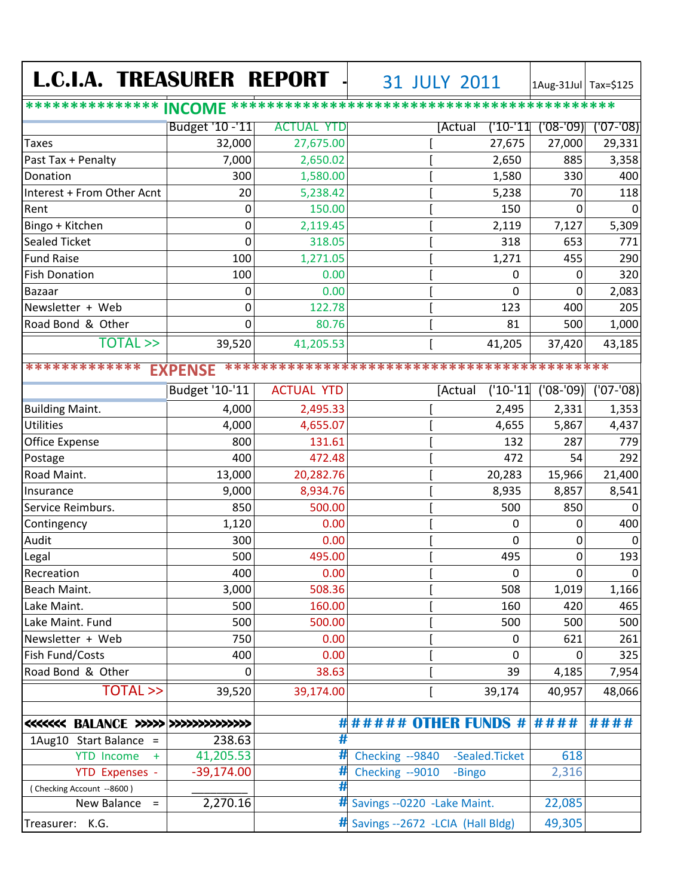| <b>L.C.I.A. TREASURER REPORT</b>         |                 |                   | 31 JULY 2011                       |                        | 1Aug-31Jul Tax=\$125 |             |
|------------------------------------------|-----------------|-------------------|------------------------------------|------------------------|----------------------|-------------|
|                                          |                 |                   |                                    |                        |                      |             |
|                                          | Budget '10 -'11 | <b>ACTUAL YTD</b> |                                    | ('10-'11<br>[Actual    | $(08 - 09)$          | $(07 - 08)$ |
| Taxes                                    | 32,000          | 27,675.00         |                                    | 27,675                 | 27,000               | 29,331      |
| Past Tax + Penalty                       | 7,000           | 2,650.02          |                                    | 2,650                  | 885                  | 3,358       |
| Donation                                 | 300             | 1,580.00          |                                    | 1,580                  | 330                  | 400         |
| Interest + From Other Acnt               | 20              | 5,238.42          |                                    | 5,238                  | 70                   | 118         |
| Rent                                     | $\mathbf 0$     | 150.00            |                                    | 150                    | $\Omega$             | $\mathbf 0$ |
| Bingo + Kitchen                          | $\mathbf 0$     | 2,119.45          |                                    | 2,119                  | 7,127                | 5,309       |
| <b>Sealed Ticket</b>                     | 0               | 318.05            |                                    | 318                    | 653                  | 771         |
| <b>Fund Raise</b>                        | 100             | 1,271.05          |                                    | 1,271                  | 455                  | 290         |
| <b>Fish Donation</b>                     | 100             | 0.00              |                                    | 0                      | 0                    | 320         |
| <b>Bazaar</b>                            | 0               | 0.00              |                                    | 0                      | 0                    | 2,083       |
| Newsletter + Web                         | 0               | 122.78            |                                    | 123                    | 400                  | 205         |
| Road Bond & Other                        | 0               | 80.76             |                                    | 81                     | 500                  | 1,000       |
| <b>TOTAL &gt;&gt;</b>                    | 39,520          | 41,205.53         |                                    | 41,205                 | 37,420               | 43,185      |
| *************<br><b>EXPENSE</b>          |                 |                   |                                    |                        |                      |             |
|                                          | Budget '10-'11  | <b>ACTUAL YTD</b> |                                    | $('10-'11)$<br>[Actual | $(08 - 09)$          | $(07 - 08)$ |
| <b>Building Maint.</b>                   | 4,000           | 2,495.33          |                                    | 2,495                  | 2,331                | 1,353       |
| <b>Utilities</b>                         | 4,000           | 4,655.07          |                                    | 4,655                  | 5,867                | 4,437       |
| <b>Office Expense</b>                    | 800             | 131.61            |                                    | 132                    | 287                  | 779         |
| Postage                                  | 400             | 472.48            |                                    | 472                    | 54                   | 292         |
| Road Maint.                              | 13,000          | 20,282.76         |                                    | 20,283                 | 15,966               | 21,400      |
| Insurance                                | 9,000           | 8,934.76          |                                    | 8,935                  | 8,857                | 8,541       |
| Service Reimburs.                        | 850             | 500.00            |                                    | 500                    | 850                  | $\mathbf 0$ |
| Contingency                              | 1,120           | 0.00              |                                    | 0                      | 0                    | 400         |
| Audit                                    | 300             | 0.00              |                                    | 0                      | 0                    | $\mathbf 0$ |
| Legal                                    | 500             | 495.00            |                                    | 495                    | 0                    | 193         |
| Recreation                               | 400             | 0.00              |                                    | 0                      | 0                    | 0           |
| Beach Maint.                             | 3,000           | 508.36            |                                    | 508                    | 1,019                | 1,166       |
| Lake Maint.                              | 500             | 160.00            |                                    | 160                    | 420                  | 465         |
| Lake Maint. Fund                         | 500             | 500.00            |                                    | 500                    | 500                  | 500         |
| Newsletter + Web                         | 750             | 0.00              |                                    | 0                      | 621                  | 261         |
| Fish Fund/Costs                          | 400             | 0.00              |                                    | 0                      | 0                    | 325         |
| Road Bond & Other                        | 0               | 38.63             |                                    | 39                     | 4,185                | 7,954       |
| <b>TOTAL &gt;&gt;</b>                    | 39,520          | 39,174.00         |                                    | 39,174                 | 40,957               | 48,066      |
| <<<<<<< BALANCE >>>>>>>>>>>>>>>>>>>>>>>> |                 |                   | ####### OTHER FUNDS # ####         |                        |                      | ####        |
| 1Aug10 Start Balance =                   | 238.63          | #                 |                                    |                        |                      |             |
| <b>YTD Income</b><br>$+$                 | 41,205.53       | #                 | Checking --9840                    | -Sealed.Ticket         | 618                  |             |
| <b>YTD Expenses -</b>                    | $-39,174.00$    | #                 | Checking --9010                    | -Bingo                 | 2,316                |             |
| (Checking Account --8600)                |                 | #                 |                                    |                        |                      |             |
| New Balance<br>$\equiv$                  | 2,270.16        |                   | # Savings --0220 -Lake Maint.      |                        | 22,085               |             |
| Treasurer: K.G.                          |                 |                   | # Savings --2672 -LCIA (Hall Bldg) |                        | 49,305               |             |